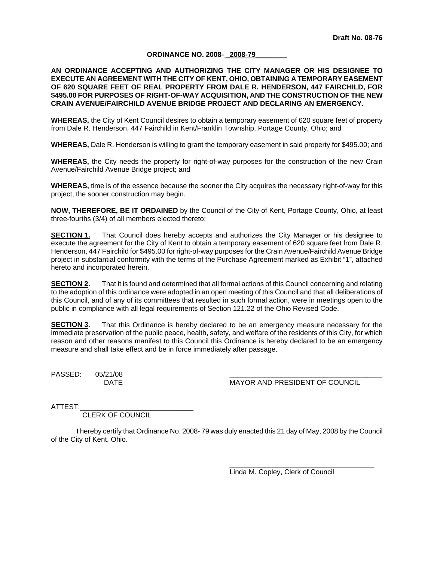#### **ORDINANCE NO. 2008- \_2008-79\_\_\_\_\_\_\_\_**

#### **AN ORDINANCE ACCEPTING AND AUTHORIZING THE CITY MANAGER OR HIS DESIGNEE TO EXECUTE AN AGREEMENT WITH THE CITY OF KENT, OHIO, OBTAINING A TEMPORARY EASEMENT OF 620 SQUARE FEET OF REAL PROPERTY FROM DALE R. HENDERSON, 447 FAIRCHILD, FOR \$495.00 FOR PURPOSES OF RIGHT-OF-WAY ACQUISITION, AND THE CONSTRUCTION OF THE NEW CRAIN AVENUE/FAIRCHILD AVENUE BRIDGE PROJECT AND DECLARING AN EMERGENCY.**

**WHEREAS,** the City of Kent Council desires to obtain a temporary easement of 620 square feet of property from Dale R. Henderson, 447 Fairchild in Kent/Franklin Township, Portage County, Ohio; and

**WHEREAS,** Dale R. Henderson is willing to grant the temporary easement in said property for \$495.00; and

**WHEREAS,** the City needs the property for right-of-way purposes for the construction of the new Crain Avenue/Fairchild Avenue Bridge project; and

**WHEREAS,** time is of the essence because the sooner the City acquires the necessary right-of-way for this project, the sooner construction may begin.

**NOW, THEREFORE, BE IT ORDAINED** by the Council of the City of Kent, Portage County, Ohio, at least three-fourths (3/4) of all members elected thereto:

**SECTION 1.** That Council does hereby accepts and authorizes the City Manager or his designee to execute the agreement for the City of Kent to obtain a temporary easement of 620 square feet from Dale R. Henderson, 447 Fairchild for \$495.00 for right-of-way purposes for the Crain Avenue/Fairchild Avenue Bridge project in substantial conformity with the terms of the Purchase Agreement marked as Exhibit "1", attached hereto and incorporated herein.

**SECTION 2.** That it is found and determined that all formal actions of this Council concerning and relating to the adoption of this ordinance were adopted in an open meeting of this Council and that all deliberations of this Council, and of any of its committees that resulted in such formal action, were in meetings open to the public in compliance with all legal requirements of Section 121.22 of the Ohio Revised Code.

**SECTION 3.** That this Ordinance is hereby declared to be an emergency measure necessary for the immediate preservation of the public peace, health, safety, and welfare of the residents of this City, for which reason and other reasons manifest to this Council this Ordinance is hereby declared to be an emergency measure and shall take effect and be in force immediately after passage.

PASSED: 05/21/08

DATE **MAYOR AND PRESIDENT OF COUNCIL** 

ATTEST:

CLERK OF COUNCIL

I hereby certify that Ordinance No. 2008- 79 was duly enacted this 21 day of May, 2008 by the Council of the City of Kent, Ohio.

> $\overline{\phantom{a}}$  ,  $\overline{\phantom{a}}$  ,  $\overline{\phantom{a}}$  ,  $\overline{\phantom{a}}$  ,  $\overline{\phantom{a}}$  ,  $\overline{\phantom{a}}$  ,  $\overline{\phantom{a}}$  ,  $\overline{\phantom{a}}$  ,  $\overline{\phantom{a}}$  ,  $\overline{\phantom{a}}$  ,  $\overline{\phantom{a}}$  ,  $\overline{\phantom{a}}$  ,  $\overline{\phantom{a}}$  ,  $\overline{\phantom{a}}$  ,  $\overline{\phantom{a}}$  ,  $\overline{\phantom{a}}$ Linda M. Copley, Clerk of Council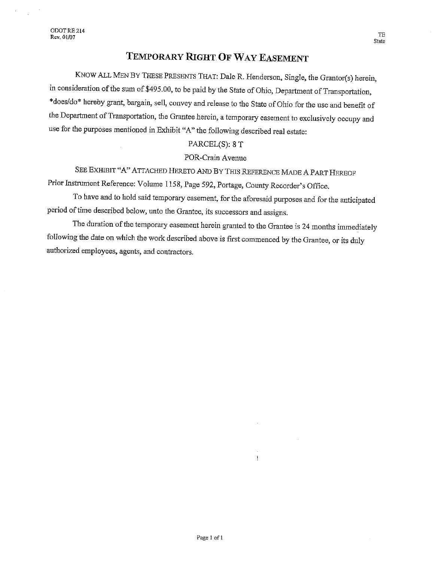# TEMPORARY RIGHT OF WAY EASEMENT

KNOW ALL MEN BY THESE PRESENTS THAT: Dale R. Henderson, Single, the Grantor(s) herein, in consideration of the sum of \$495.00, to be paid by the State of Ohio, Department of Transportation, \*does/do\* hereby grant, bargain, sell, convey and release to the State of Ohio for the use and benefit of the Department of Transportation, the Grantee herein, a temporary easement to exclusively occupy and use for the purposes mentioned in Exhibit "A" the following described real estate:

#### PARCEL(S): 8 T

#### POR-Crain Avenue

SEE EXHIBIT "A" ATTACHED HERETO AND BY THIS REFERENCE MADE A PART HEREOF Prior Instrument Reference: Volume 1158, Page 592, Portage, County Recorder's Office.

To have and to hold said temporary easement, for the aforesaid purposes and for the anticipated period of time described below, unto the Grantee, its successors and assigns.

The duration of the temporary easement herein granted to the Grantee is 24 months immediately following the date on which the work described above is first commenced by the Grantee, or its duly authorized employees, agents, and contractors.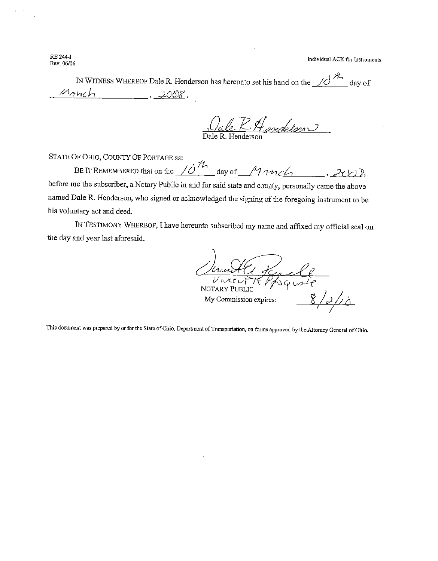**RE 244-I** Rev. 06/06

Individual ACK for Instruments

IN WITNESS WHEREOF Dale R. Henderson has hereunto set his hand on the  $\angle$ day of Manch  $3.2008.$ 

<u>Jule R. Handelson</u>

STATE OF OHIO, COUNTY OF PORTAGE ss:

BE IT REMEMBERED that on the  $10^{th}$  day of  $M$ <sup>2</sup>  $10^{th}$  day of  $M$ <sup>2</sup>  $10^{th}$ , 200). before me the subscriber, a Notary Public in and for said state and county, personally came the above named Dale R. Henderson, who signed or acknowledged the signing of the foregoing instrument to be his voluntary act and deed.

IN TESTIMONY WHEREOF, I have hereunto subscribed my name and affixed my official seal on the day and year last aforesaid.

1 Kerell  $\overline{\nu}$ *i* $\alpha$ c $\omega$ NOTARY PUBLIC  $2/18$ My Commission expires:

This document was prepared by or for the State of Ohio, Department of Transportation, on forms approved by the Attorney General of Ohio.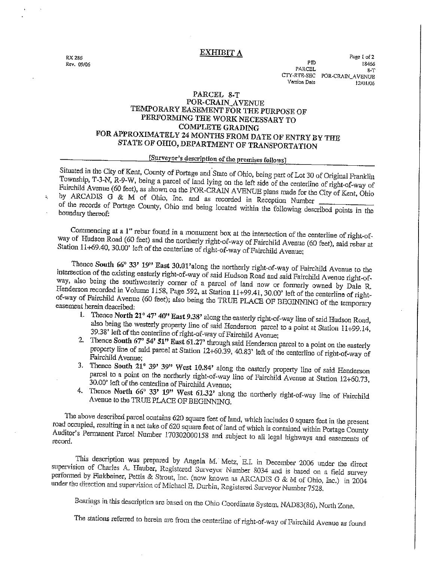RX 286 Rev. 09/06

ţ.

#### **EXHIBIT A**

Page 1 of 2 P<sub>T</sub> 18466 PARCEL  $R - T$ CTY-RTE-SEC POR-CRAIN\_AVENUE Version Date 12/01/06

## PARCEL 8-T

### POR-CRAIN\_AVENUE TEMPORARY EASEMENT FOR THE PURPOSE OF PERFORMING THE WORK NECESSARY TO **COMPLETE GRADING** FOR APPROXIMATELY 24 MONTHS FROM DATE OF ENTRY BY THE STATE OF OHIO, DEPARTMENT OF TRANSPORTATION

### [Surveyor's description of the premises follows]

Situated in the City of Kent, County of Portage and State of Ohio, being part of Lot 30 of Original Franklin Township, T-3-N, R-9-W, being a parcel of land lying on the left side of the centerline of right-of-way of Fairchild Avenue (60 feet), as shown on the POR-CRAIN AVENUE plans made for the City of Kent, Ohio by ARCADIS G & M of Ohio, Inc. and as recorded in Reception Number

of the records of Portage County, Ohio and being located within the following described points in the boundary thereof:

Commencing at a 1" rebar found in a monument box at the intersection of the centerline of right-ofway of Hudson Road (60 feet) and the northerly right-of-way of Fairchild Avenue (60 feet), said rebar at Station 11+69.40, 30.00' left of the centerline of right-of-way of Fairchild Avenue;

Thence South 66° 33' 19" East 30.01'along the northerly right-of-way of Fairchild Avenue to the intersection of the existing easterly right-of-way of said Hudson Road and said Fairchild Avenue right-ofway, also being the southwesterly corner of a parcel of land now or formerly owned by Dale R. Henderson recorded in Volume 1158, Page 592, at Station 11+99.41, 30.00' left of the centerline of rightof-way of Fairchild Avenue (60 feet); also being the TRUE PLACE OF BEGINNING of the temporary easement herein described:

- 1. Thence North 21° 47' 40" East 9.38' along the easterly right-of-way line of said Hudson Road, also being the westerly property line of said Henderson parcel to a point at Station 11+99.14, 39.38' left of the centerline of right-of-way of Fairchild Avenue;
- 2. Thence South 67° 54' 51" East 61.27' through said Henderson parcel to a point on the easterly property line of said parcel at Station 12+60.39, 40.83' left of the centerline of right-of-way of Fairchild Avenue:
- 3. Thence South 21° 39' 39" West 10.84' along the easterly property line of said Henderson parcel to a point on the northerly right-of-way line of Fairchild Avenue at Station 12+60.73, 30.00' left of the centerline of Fairchild Avenue;
- 4. Thence North 66° 33' 19" West 61.32' along the northerly right-of-way line of Fairchild Avenue to the TRUE PLACE OF BEGINNING.

The above described parcel contains 620 square feet of land, which includes 0 square feet in the present road occupied, resulting in a net take of 620 square feet of land of which is contained within Portage County Auditor's Permanent Parcel Number 170302000158 and subject to all legal highways and easements of record.

This description was prepared by Angela M. Metz, E.I. in December 2006 under the direct supervision of Charles A. Hauber, Registered Surveyor Number 8034 and is based on a field survey performed by Finkbeiner, Pettis & Strout, Inc. (now known as ARCADIS G & M of Ohio, Inc.) in 2004 under the direction and supervision of Michael E. Durbin, Registered Surveyor Number 7528.

Bearings in this description are based on the Ohio Coordinate System, NAD83(86), North Zone.

The stations referred to herein are from the centerline of right-of-way of Fairchild Avenue as found